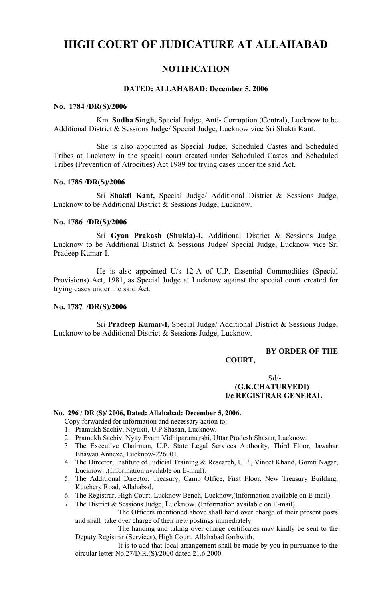# **HIGH COURT OF JUDICATURE AT ALLAHABAD**

# **NOTIFICATION**

## **DATED: ALLAHABAD: December 5, 2006**

### **No. 1784 /DR(S)/2006**

Km. **Sudha Singh,** Special Judge, Anti- Corruption (Central), Lucknow to be Additional District & Sessions Judge/ Special Judge, Lucknow vice Sri Shakti Kant.

She is also appointed as Special Judge, Scheduled Castes and Scheduled Tribes at Lucknow in the special court created under Scheduled Castes and Scheduled Tribes (Prevention of Atrocities) Act 1989 for trying cases under the said Act.

### **No. 1785 /DR(S)/2006**

Sri **Shakti Kant,** Special Judge/ Additional District & Sessions Judge, Lucknow to be Additional District & Sessions Judge, Lucknow.

### **No. 1786 /DR(S)/2006**

Sri **Gyan Prakash (Shukla)-I,** Additional District & Sessions Judge, Lucknow to be Additional District & Sessions Judge/ Special Judge, Lucknow vice Sri Pradeep Kumar-I.

He is also appointed U/s 12-A of U.P. Essential Commodities (Special Provisions) Act, 1981, as Special Judge at Lucknow against the special court created for trying cases under the said Act.

# **No. 1787 /DR(S)/2006**

Sri **Pradeep Kumar-I,** Special Judge/ Additional District & Sessions Judge, Lucknow to be Additional District & Sessions Judge, Lucknow.

# **BY ORDER OF THE**

# **COURT,**

 $Sd$ <sup>-</sup>  **(G.K.CHATURVEDI) I/c REGISTRAR GENERAL**

### **No. 296 / DR (S)/ 2006, Dated: Allahabad: December 5, 2006.**

- Copy forwarded for information and necessary action to:
- 1. Pramukh Sachiv, Niyukti, U.P.Shasan, Lucknow.
- 2. Pramukh Sachiv, Nyay Evam Vidhiparamarshi, Uttar Pradesh Shasan, Lucknow.
- 3. The Executive Chairman, U.P. State Legal Services Authority, Third Floor, Jawahar Bhawan Annexe, Lucknow-226001.
- 4. The Director, Institute of Judicial Training & Research, U.P., Vineet Khand, Gomti Nagar, Lucknow. ,(Information available on E-mail).
- 5. The Additional Director, Treasury, Camp Office, First Floor, New Treasury Building, Kutchery Road, Allahabad.
- 6. The Registrar, High Court, Lucknow Bench, Lucknow,(Information available on E-mail).

7. The District & Sessions Judge, Lucknow. (Information available on E-mail).

The Officers mentioned above shall hand over charge of their present posts and shall take over charge of their new postings immediately.

The handing and taking over charge certificates may kindly be sent to the Deputy Registrar (Services), High Court, Allahabad forthwith.

It is to add that local arrangement shall be made by you in pursuance to the circular letter No.27/D.R.(S)/2000 dated 21.6.2000.